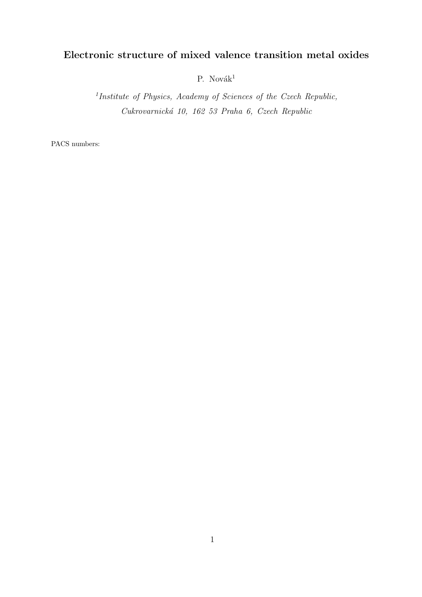# Electronic structure of mixed valence transition metal oxides

P. Novák $^1$ 

<sup>1</sup>Institute of Physics, Academy of Sciences of the Czech Republic, Cukrovarnick´a 10, 162 53 Praha 6, Czech Republic

PACS numbers: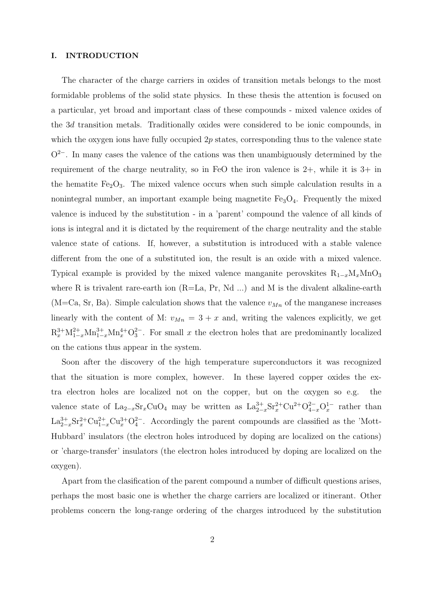## I. INTRODUCTION

The character of the charge carriers in oxides of transition metals belongs to the most formidable problems of the solid state physics. In these thesis the attention is focused on a particular, yet broad and important class of these compounds - mixed valence oxides of the 3d transition metals. Traditionally oxides were considered to be ionic compounds, in which the oxygen ions have fully occupied  $2p$  states, corresponding thus to the valence state  $O^{2-}$ . In many cases the valence of the cations was then unambiguously determined by the requirement of the charge neutrality, so in FeO the iron valence is  $2+$ , while it is  $3+$  in the hematite  $Fe<sub>2</sub>O<sub>3</sub>$ . The mixed valence occurs when such simple calculation results in a nonintegral number, an important example being magnetite  $Fe<sub>3</sub>O<sub>4</sub>$ . Frequently the mixed valence is induced by the substitution - in a 'parent' compound the valence of all kinds of ions is integral and it is dictated by the requirement of the charge neutrality and the stable valence state of cations. If, however, a substitution is introduced with a stable valence different from the one of a substituted ion, the result is an oxide with a mixed valence. Typical example is provided by the mixed valence manganite perovskites  $R_{1-x}M_xMnO_3$ where R is trivalent rare-earth ion  $(R=\text{La}, \text{Pr}, \text{Nd} \dots)$  and M is the divalent alkaline-earth (M=Ca, Sr, Ba). Simple calculation shows that the valence  $v_{Mn}$  of the manganese increases linearly with the content of M:  $v_{Mn} = 3 + x$  and, writing the valences explicitly, we get  $R_x^{3+}M_{1-x}^{2+}M_{1-x}^{3+}M_{x}^{4+}O_3^{2-}$ . For small x the electron holes that are predominantly localized on the cations thus appear in the system.

Soon after the discovery of the high temperature superconductors it was recognized that the situation is more complex, however. In these layered copper oxides the extra electron holes are localized not on the copper, but on the oxygen so e.g. the valence state of  $\text{La}_{2-x}\text{Sr}_{x}\text{CuO}_{4}$  may be written as  $\text{La}_{2-x}^{3+}\text{Sr}_{x}^{2+}\text{Cu}^{2+}\text{O}_{4-x}^{2-}\text{O}_{x}^{1-}$  rather than  $\text{La}_{2-x}^{3+} \text{Sr}_x^{2+} \text{Cu}_{1-x}^{3+} \text{Cu}_x^{3+} \text{O}_4^{2-}$ . Accordingly the parent compounds are classified as the 'Mott-Hubbard' insulators (the electron holes introduced by doping are localized on the cations) or 'charge-transfer' insulators (the electron holes introduced by doping are localized on the oxygen).

Apart from the clasification of the parent compound a number of difficult questions arises, perhaps the most basic one is whether the charge carriers are localized or itinerant. Other problems concern the long-range ordering of the charges introduced by the substitution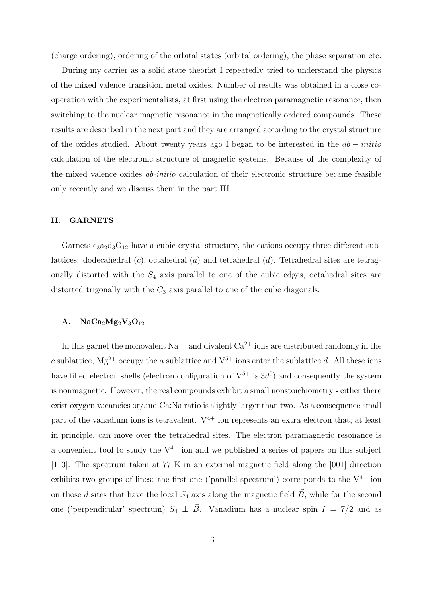(charge ordering), ordering of the orbital states (orbital ordering), the phase separation etc.

During my carrier as a solid state theorist I repeatedly tried to understand the physics of the mixed valence transition metal oxides. Number of results was obtained in a close cooperation with the experimentalists, at first using the electron paramagnetic resonance, then switching to the nuclear magnetic resonance in the magnetically ordered compounds. These results are described in the next part and they are arranged according to the crystal structure of the oxides studied. About twenty years ago I began to be interested in the ab − initio calculation of the electronic structure of magnetic systems. Because of the complexity of the mixed valence oxides ab-initio calculation of their electronic structure became feasible only recently and we discuss them in the part III.

# II. GARNETS

Garnets  $c_3a_2d_3O_{12}$  have a cubic crystal structure, the cations occupy three different sublattices: dodecahedral  $(c)$ , octahedral  $(a)$  and tetrahedral  $(d)$ . Tetrahedral sites are tetragonally distorted with the  $S_4$  axis parallel to one of the cubic edges, octahedral sites are distorted trigonally with the  $C_3$  axis parallel to one of the cube diagonals.

# A.  $NaCa<sub>2</sub>Mg<sub>2</sub>V<sub>3</sub>O<sub>12</sub>$

In this garnet the monovalent  $Na^{1+}$  and divalent  $Ca^{2+}$  ions are distributed randomly in the c sublattice,  $Mg^{2+}$  occupy the a sublattice and  $V^{5+}$  ions enter the sublattice d. All these ions have filled electron shells (electron configuration of  $V^{5+}$  is  $3d^0$ ) and consequently the system is nonmagnetic. However, the real compounds exhibit a small nonstoichiometry - either there exist oxygen vacancies or/and Ca:Na ratio is slightly larger than two. As a consequence small part of the vanadium ions is tetravalent.  $V^{4+}$  ion represents an extra electron that, at least in principle, can move over the tetrahedral sites. The electron paramagnetic resonance is a convenient tool to study the  $V^{4+}$  ion and we published a series of papers on this subject [1–3]. The spectrum taken at 77 K in an external magnetic field along the [001] direction exhibits two groups of lines: the first one ('parallel spectrum') corresponds to the  $V^{4+}$  ion on those d sites that have the local  $S_4$  axis along the magnetic field  $\vec{B}$ , while for the second one ('perpendicular' spectrum)  $S_4 \perp \vec{B}$ . Vanadium has a nuclear spin  $I = 7/2$  and as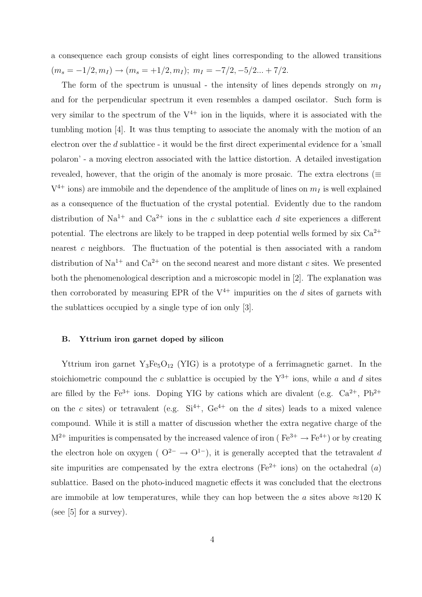a consequence each group consists of eight lines corresponding to the allowed transitions  $(m_s = -1/2, m_I) \rightarrow (m_s = +1/2, m_I); m_I = -7/2, -5/2... +7/2.$ 

The form of the spectrum is unusual - the intensity of lines depends strongly on  $m_I$ and for the perpendicular spectrum it even resembles a damped oscilator. Such form is very similar to the spectrum of the  $V^{4+}$  ion in the liquids, where it is associated with the tumbling motion [4]. It was thus tempting to associate the anomaly with the motion of an electron over the d sublattice - it would be the first direct experimental evidence for a 'small polaron' - a moving electron associated with the lattice distortion. A detailed investigation revealed, however, that the origin of the anomaly is more prosaic. The extra electrons ( $\equiv$  $V^{4+}$  ions) are immobile and the dependence of the amplitude of lines on  $m_I$  is well explained as a consequence of the fluctuation of the crystal potential. Evidently due to the random distribution of Na<sup>1+</sup> and Ca<sup>2+</sup> ions in the c sublattice each d site experiences a different potential. The electrons are likely to be trapped in deep potential wells formed by six  $Ca^{2+}$ nearest c neighbors. The fluctuation of the potential is then associated with a random distribution of Na<sup>1+</sup> and Ca<sup>2+</sup> on the second nearest and more distant c sites. We presented both the phenomenological description and a microscopic model in [2]. The explanation was then corroborated by measuring EPR of the  $V^{4+}$  impurities on the d sites of garnets with the sublattices occupied by a single type of ion only [3].

#### B. Yttrium iron garnet doped by silicon

Yttrium iron garnet  $Y_3Fe_5O_{12}$  (YIG) is a prototype of a ferrimagnetic garnet. In the stoichiometric compound the c sublattice is occupied by the  $Y^{3+}$  ions, while a and d sites are filled by the  $Fe^{3+}$  ions. Doping YIG by cations which are divalent (e.g.  $Ca^{2+}$ ,  $Pb^{2+}$ on the c sites) or tetravalent (e.g.  $Si^{4+}$ ,  $Ge^{4+}$  on the d sites) leads to a mixed valence compound. While it is still a matter of discussion whether the extra negative charge of the  $M^{2+}$  impurities is compensated by the increased valence of iron ( $Fe^{3+} \rightarrow Fe^{4+}$ ) or by creating the electron hole on oxygen ( $O^{2-} \rightarrow O^{1-}$ ), it is generally accepted that the tetravalent d site impurities are compensated by the extra electrons ( $Fe^{2+}$  ions) on the octahedral  $(a)$ sublattice. Based on the photo-induced magnetic effects it was concluded that the electrons are immobile at low temperatures, while they can hop between the a sites above  $\approx$ 120 K (see  $[5]$  for a survey).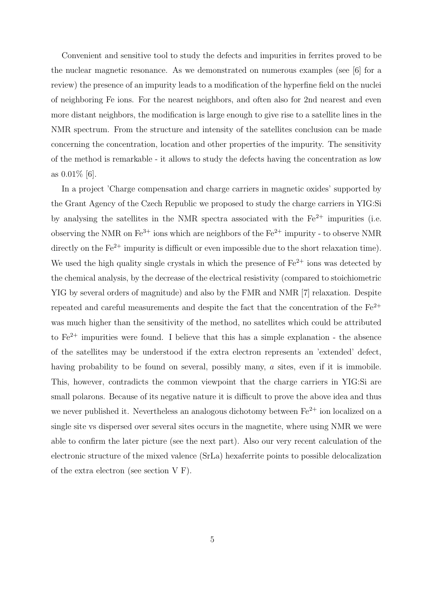Convenient and sensitive tool to study the defects and impurities in ferrites proved to be the nuclear magnetic resonance. As we demonstrated on numerous examples (see [6] for a review) the presence of an impurity leads to a modification of the hyperfine field on the nuclei of neighboring Fe ions. For the nearest neighbors, and often also for 2nd nearest and even more distant neighbors, the modification is large enough to give rise to a satellite lines in the NMR spectrum. From the structure and intensity of the satellites conclusion can be made concerning the concentration, location and other properties of the impurity. The sensitivity of the method is remarkable - it allows to study the defects having the concentration as low as 0.01% [6].

In a project 'Charge compensation and charge carriers in magnetic oxides' supported by the Grant Agency of the Czech Republic we proposed to study the charge carriers in YIG:Si by analysing the satellites in the NMR spectra associated with the  $Fe^{2+}$  impurities (i.e. observing the NMR on  $\text{Fe}^{3+}$  ions which are neighbors of the  $\text{Fe}^{2+}$  impurity - to observe NMR directly on the Fe<sup>2+</sup> impurity is difficult or even impossible due to the short relaxation time). We used the high quality single crystals in which the presence of  $Fe^{2+}$  ions was detected by the chemical analysis, by the decrease of the electrical resistivity (compared to stoichiometric YIG by several orders of magnitude) and also by the FMR and NMR [7] relaxation. Despite repeated and careful measurements and despite the fact that the concentration of the  $Fe^{2+}$ was much higher than the sensitivity of the method, no satellites which could be attributed to Fe<sup>2+</sup> impurities were found. I believe that this has a simple explanation - the absence of the satellites may be understood if the extra electron represents an 'extended' defect, having probability to be found on several, possibly many, a sites, even if it is immobile. This, however, contradicts the common viewpoint that the charge carriers in YIG:Si are small polarons. Because of its negative nature it is difficult to prove the above idea and thus we never published it. Nevertheless an analogous dichotomy between  $Fe^{2+}$  ion localized on a single site vs dispersed over several sites occurs in the magnetite, where using NMR we were able to confirm the later picture (see the next part). Also our very recent calculation of the electronic structure of the mixed valence (SrLa) hexaferrite points to possible delocalization of the extra electron (see section V F).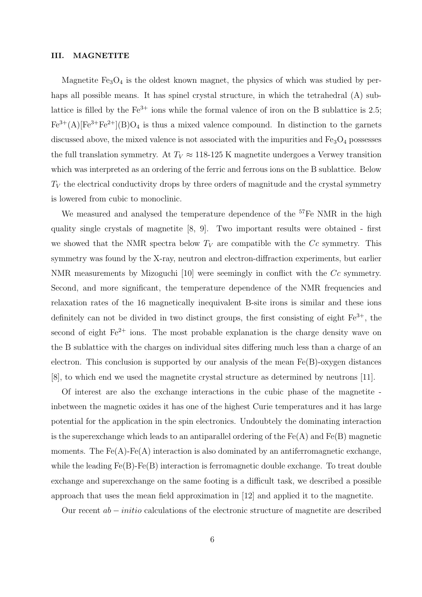#### III. MAGNETITE

Magnetite  $Fe<sub>3</sub>O<sub>4</sub>$  is the oldest known magnet, the physics of which was studied by perhaps all possible means. It has spinel crystal structure, in which the tetrahedral (A) sublattice is filled by the  $Fe^{3+}$  ions while the formal valence of iron on the B sublattice is 2.5;  $Fe^{3+}(A)[Fe^{3+}Fe^{2+}](B)O_4$  is thus a mixed valence compound. In distinction to the garnets discussed above, the mixed valence is not associated with the impurities and  $Fe<sub>3</sub>O<sub>4</sub>$  possesses the full translation symmetry. At  $T_V \approx 118{\text -}125 \text{ K}$  magnetite undergoes a Verwey transition which was interpreted as an ordering of the ferric and ferrous ions on the B sublattice. Below  $T_V$  the electrical conductivity drops by three orders of magnitude and the crystal symmetry is lowered from cubic to monoclinic.

We measured and analysed the temperature dependence of the <sup>57</sup>Fe NMR in the high quality single crystals of magnetite [8, 9]. Two important results were obtained - first we showed that the NMR spectra below  $T_V$  are compatible with the Cc symmetry. This symmetry was found by the X-ray, neutron and electron-diffraction experiments, but earlier NMR measurements by Mizoguchi [10] were seemingly in conflict with the Cc symmetry. Second, and more significant, the temperature dependence of the NMR frequencies and relaxation rates of the 16 magnetically inequivalent B-site irons is similar and these ions definitely can not be divided in two distinct groups, the first consisting of eight  $Fe^{3+}$ , the second of eight Fe<sup>2+</sup> ions. The most probable explanation is the charge density wave on the B sublattice with the charges on individual sites differing much less than a charge of an electron. This conclusion is supported by our analysis of the mean  $Fe(B)$ -oxygen distances [8], to which end we used the magnetite crystal structure as determined by neutrons [11].

Of interest are also the exchange interactions in the cubic phase of the magnetite inbetween the magnetic oxides it has one of the highest Curie temperatures and it has large potential for the application in the spin electronics. Undoubtely the dominating interaction is the superexchange which leads to an antiparallel ordering of the  $Fe(A)$  and  $Fe(B)$  magnetic moments. The  $Fe(A)$ - $Fe(A)$  interaction is also dominated by an antiferromagnetic exchange, while the leading  $Fe(B)$ -Fe(B) interaction is ferromagnetic double exchange. To treat double exchange and superexchange on the same footing is a difficult task, we described a possible approach that uses the mean field approximation in [12] and applied it to the magnetite.

Our recent ab − initio calculations of the electronic structure of magnetite are described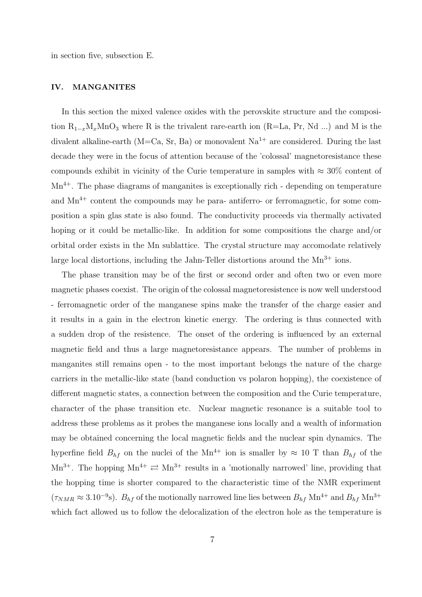in section five, subsection E.

# IV. MANGANITES

In this section the mixed valence oxides with the perovskite structure and the composition  $R_{1-x}M_xM_nO_3$  where R is the trivalent rare-earth ion (R=La, Pr, Nd ...) and M is the divalent alkaline-earth (M=Ca, Sr, Ba) or monovalent  $Na^{1+}$  are considered. During the last decade they were in the focus of attention because of the 'colossal' magnetoresistance these compounds exhibit in vicinity of the Curie temperature in samples with  $\approx 30\%$  content of  $Mn^{4+}$ . The phase diagrams of manganites is exceptionally rich - depending on temperature and  $Mn^{4+}$  content the compounds may be para- antiferro- or ferromagnetic, for some composition a spin glas state is also found. The conductivity proceeds via thermally activated hoping or it could be metallic-like. In addition for some compositions the charge and/or orbital order exists in the Mn sublattice. The crystal structure may accomodate relatively large local distortions, including the Jahn-Teller distortions around the  $Mn^{3+}$  ions.

The phase transition may be of the first or second order and often two or even more magnetic phases coexist. The origin of the colossal magnetoresistence is now well understood - ferromagnetic order of the manganese spins make the transfer of the charge easier and it results in a gain in the electron kinetic energy. The ordering is thus connected with a sudden drop of the resistence. The onset of the ordering is influenced by an external magnetic field and thus a large magnetoresistance appears. The number of problems in manganites still remains open - to the most important belongs the nature of the charge carriers in the metallic-like state (band conduction vs polaron hopping), the coexistence of different magnetic states, a connection between the composition and the Curie temperature, character of the phase transition etc. Nuclear magnetic resonance is a suitable tool to address these problems as it probes the manganese ions locally and a wealth of information may be obtained concerning the local magnetic fields and the nuclear spin dynamics. The hyperfine field  $B_{hf}$  on the nuclei of the Mn<sup>4+</sup> ion is smaller by  $\approx 10$  T than  $B_{hf}$  of the Mn<sup>3+</sup>. The hopping  $Mn^{4+} \rightleftarrows Mn^{3+}$  results in a 'motionally narrowed' line, providing that the hopping time is shorter compared to the characteristic time of the NMR experiment  $(\tau_{NMR} \approx 3.10^{-9} \text{s})$ .  $B_{hf}$  of the motionally narrowed line lies between  $B_{hf}$  Mn<sup>4+</sup> and  $B_{hf}$  Mn<sup>3+</sup> which fact allowed us to follow the delocalization of the electron hole as the temperature is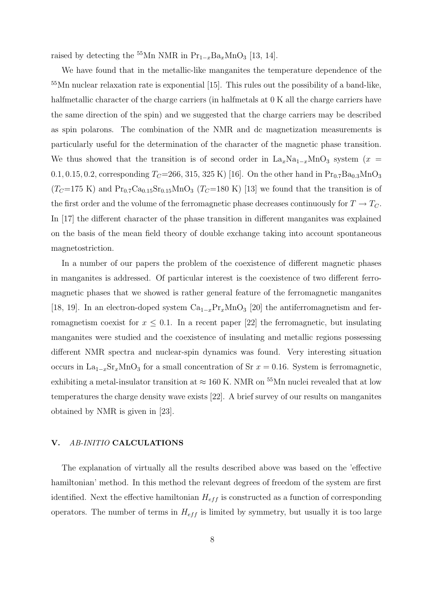raised by detecting the <sup>55</sup>Mn NMR in Pr<sub>1−x</sub>Ba<sub>x</sub>MnO<sub>3</sub> [13, 14].

We have found that in the metallic-like manganites the temperature dependence of the <sup>55</sup>Mn nuclear relaxation rate is exponential [15]. This rules out the possibility of a band-like, halfmetallic character of the charge carriers (in halfmetals at  $0 K$  all the charge carriers have the same direction of the spin) and we suggested that the charge carriers may be described as spin polarons. The combination of the NMR and dc magnetization measurements is particularly useful for the determination of the character of the magnetic phase transition. We thus showed that the transition is of second order in  $\text{La}_x\text{Na}_{1-x}\text{MnO}_3$  system (x = 0.1, 0.15, 0.2, corresponding  $T_C=266, 315, 325 \text{ K}$  [16]. On the other hand in  $\text{Pr}_{0.7}\text{Ba}_{0.3}\text{MnO}_3$  $(T_{C}$ =175 K) and Pr<sub>0.7</sub>Ca<sub>0.15</sub>Sr<sub>0.15</sub>MnO<sub>3</sub> (T<sub>C</sub>=180 K) [13] we found that the transition is of the first order and the volume of the ferromagnetic phase decreases continuously for  $T \to T_C$ . In [17] the different character of the phase transition in different manganites was explained on the basis of the mean field theory of double exchange taking into account spontaneous magnetostriction.

In a number of our papers the problem of the coexistence of different magnetic phases in manganites is addressed. Of particular interest is the coexistence of two different ferromagnetic phases that we showed is rather general feature of the ferromagnetic manganites [18, 19]. In an electron-doped system  $Ca_{1-x}Pr_xMnO_3$  [20] the antiferromagnetism and ferromagnetism coexist for  $x \leq 0.1$ . In a recent paper [22] the ferromagnetic, but insulating manganites were studied and the coexistence of insulating and metallic regions possessing different NMR spectra and nuclear-spin dynamics was found. Very interesting situation occurs in La<sub>1−x</sub>Sr<sub>x</sub>MnO<sub>3</sub> for a small concentration of Sr  $x = 0.16$ . System is ferromagnetic, exhibiting a metal-insulator transition at  $\approx 160$  K. NMR on  $^{55}\rm{Mn}$  nuclei revealed that at low temperatures the charge density wave exists [22]. A brief survey of our results on manganites obtained by NMR is given in [23].

# V. AB-INITIO CALCULATIONS

The explanation of virtually all the results described above was based on the 'effective hamiltonian' method. In this method the relevant degrees of freedom of the system are first identified. Next the effective hamiltonian  $H_{eff}$  is constructed as a function of corresponding operators. The number of terms in  $H_{eff}$  is limited by symmetry, but usually it is too large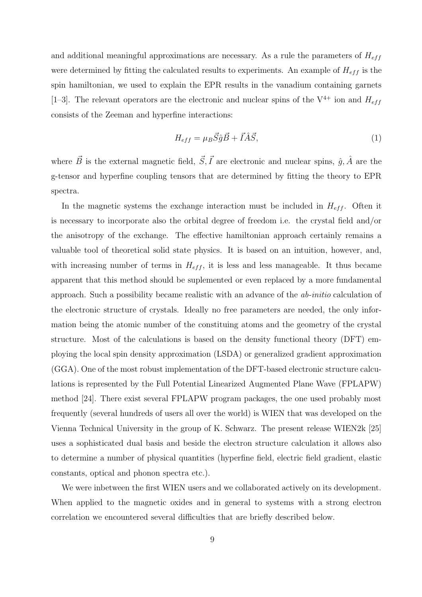and additional meaningful approximations are necessary. As a rule the parameters of  $H_{eff}$ were determined by fitting the calculated results to experiments. An example of  $H_{eff}$  is the spin hamiltonian, we used to explain the EPR results in the vanadium containing garnets [1–3]. The relevant operators are the electronic and nuclear spins of the  $V^{4+}$  ion and  $H_{eff}$ consists of the Zeeman and hyperfine interactions:

$$
H_{eff} = \mu_B \vec{S} \hat{g} \vec{B} + \vec{I} \hat{A} \vec{S},\tag{1}
$$

where  $\vec{B}$  is the external magnetic field,  $\vec{S}, \vec{I}$  are electronic and nuclear spins,  $\hat{g}, \hat{A}$  are the g-tensor and hyperfine coupling tensors that are determined by fitting the theory to EPR spectra.

In the magnetic systems the exchange interaction must be included in  $H_{eff}$ . Often it is necessary to incorporate also the orbital degree of freedom i.e. the crystal field and/or the anisotropy of the exchange. The effective hamiltonian approach certainly remains a valuable tool of theoretical solid state physics. It is based on an intuition, however, and, with increasing number of terms in  $H_{eff}$ , it is less and less manageable. It thus became apparent that this method should be suplemented or even replaced by a more fundamental approach. Such a possibility became realistic with an advance of the ab-initio calculation of the electronic structure of crystals. Ideally no free parameters are needed, the only information being the atomic number of the constituing atoms and the geometry of the crystal structure. Most of the calculations is based on the density functional theory (DFT) employing the local spin density approximation (LSDA) or generalized gradient approximation (GGA). One of the most robust implementation of the DFT-based electronic structure calculations is represented by the Full Potential Linearized Augmented Plane Wave (FPLAPW) method [24]. There exist several FPLAPW program packages, the one used probably most frequently (several hundreds of users all over the world) is WIEN that was developed on the Vienna Technical University in the group of K. Schwarz. The present release WIEN2k [25] uses a sophisticated dual basis and beside the electron structure calculation it allows also to determine a number of physical quantities (hyperfine field, electric field gradient, elastic constants, optical and phonon spectra etc.).

We were inbetween the first WIEN users and we collaborated actively on its development. When applied to the magnetic oxides and in general to systems with a strong electron correlation we encountered several difficulties that are briefly described below.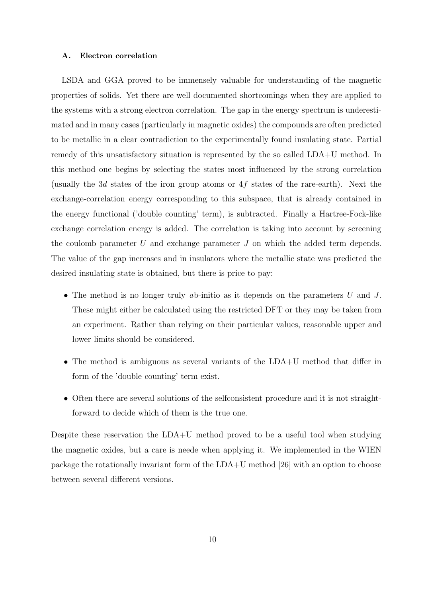### A. Electron correlation

LSDA and GGA proved to be immensely valuable for understanding of the magnetic properties of solids. Yet there are well documented shortcomings when they are applied to the systems with a strong electron correlation. The gap in the energy spectrum is underestimated and in many cases (particularly in magnetic oxides) the compounds are often predicted to be metallic in a clear contradiction to the experimentally found insulating state. Partial remedy of this unsatisfactory situation is represented by the so called LDA+U method. In this method one begins by selecting the states most influenced by the strong correlation (usually the 3d states of the iron group atoms or  $4f$  states of the rare-earth). Next the exchange-correlation energy corresponding to this subspace, that is already contained in the energy functional ('double counting' term), is subtracted. Finally a Hartree-Fock-like exchange correlation energy is added. The correlation is taking into account by screening the coulomb parameter  $U$  and exchange parameter  $J$  on which the added term depends. The value of the gap increases and in insulators where the metallic state was predicted the desired insulating state is obtained, but there is price to pay:

- The method is no longer truly ab-initio as it depends on the parameters  $U$  and  $J$ . These might either be calculated using the restricted DFT or they may be taken from an experiment. Rather than relying on their particular values, reasonable upper and lower limits should be considered.
- The method is ambiguous as several variants of the LDA+U method that differ in form of the 'double counting' term exist.
- Often there are several solutions of the selfconsistent procedure and it is not straightforward to decide which of them is the true one.

Despite these reservation the LDA+U method proved to be a useful tool when studying the magnetic oxides, but a care is neede when applying it. We implemented in the WIEN package the rotationally invariant form of the LDA+U method [26] with an option to choose between several different versions.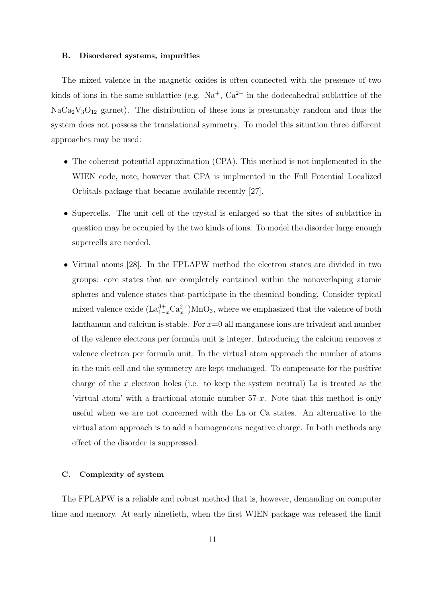#### B. Disordered systems, impurities

The mixed valence in the magnetic oxides is often connected with the presence of two kinds of ions in the same sublattice (e.g.  $Na^+$ ,  $Ca^{2+}$  in the dodecahedral sublattice of the  $NaCa<sub>2</sub>V<sub>3</sub>O<sub>12</sub>$  garnet). The distribution of these ions is presumably random and thus the system does not possess the translational symmetry. To model this situation three different approaches may be used:

- The coherent potential approximation (CPA). This method is not implemented in the WIEN code, note, however that CPA is implmented in the Full Potential Localized Orbitals package that became available recently [27].
- Supercells. The unit cell of the crystal is enlarged so that the sites of sublattice in question may be occupied by the two kinds of ions. To model the disorder large enough supercells are needed.
- Virtual atoms [28]. In the FPLAPW method the electron states are divided in two groups: core states that are completely contained within the nonoverlaping atomic spheres and valence states that participate in the chemical bonding. Consider typical mixed valence oxide  $(\text{La}_{1-x}^{3+} \text{Ca}_x^{2+}) \text{MnO}_3$ , where we emphasized that the valence of both lanthanum and calcium is stable. For  $x=0$  all manganese ions are trivalent and number of the valence electrons per formula unit is integer. Introducing the calcium removes  $x$ valence electron per formula unit. In the virtual atom approach the number of atoms in the unit cell and the symmetry are kept unchanged. To compensate for the positive charge of the  $x$  electron holes (i.e. to keep the system neutral) La is treated as the 'virtual atom' with a fractional atomic number 57-x. Note that this method is only useful when we are not concerned with the La or Ca states. An alternative to the virtual atom approach is to add a homogeneous negative charge. In both methods any effect of the disorder is suppressed.

# C. Complexity of system

The FPLAPW is a reliable and robust method that is, however, demanding on computer time and memory. At early ninetieth, when the first WIEN package was released the limit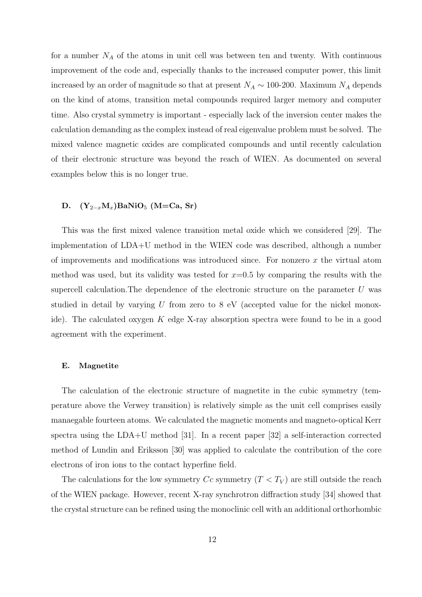for a number  $N_A$  of the atoms in unit cell was between ten and twenty. With continuous improvement of the code and, especially thanks to the increased computer power, this limit increased by an order of magnitude so that at present  $N_A \sim 100$ -200. Maximum  $N_A$  depends on the kind of atoms, transition metal compounds required larger memory and computer time. Also crystal symmetry is important - especially lack of the inversion center makes the calculation demanding as the complex instead of real eigenvalue problem must be solved. The mixed valence magnetic oxides are complicated compounds and until recently calculation of their electronic structure was beyond the reach of WIEN. As documented on several examples below this is no longer true.

# D.  $(Y_{2-x}M_x)$ BaNiO<sub>5</sub> (M=Ca, Sr)

This was the first mixed valence transition metal oxide which we considered [29]. The implementation of LDA+U method in the WIEN code was described, although a number of improvements and modifications was introduced since. For nonzero  $x$  the virtual atom method was used, but its validity was tested for  $x=0.5$  by comparing the results with the supercell calculation. The dependence of the electronic structure on the parameter  $U$  was studied in detail by varying  $U$  from zero to  $8 \text{ eV}$  (accepted value for the nickel monoxide). The calculated oxygen  $K$  edge X-ray absorption spectra were found to be in a good agreement with the experiment.

#### E. Magnetite

The calculation of the electronic structure of magnetite in the cubic symmetry (temperature above the Verwey transition) is relatively simple as the unit cell comprises easily manaegable fourteen atoms. We calculated the magnetic moments and magneto-optical Kerr spectra using the LDA+U method [31]. In a recent paper [32] a self-interaction corrected method of Lundin and Eriksson [30] was applied to calculate the contribution of the core electrons of iron ions to the contact hyperfine field.

The calculations for the low symmetry  $Cc$  symmetry  $(T < T_V)$  are still outside the reach of the WIEN package. However, recent X-ray synchrotron diffraction study [34] showed that the crystal structure can be refined using the monoclinic cell with an additional orthorhombic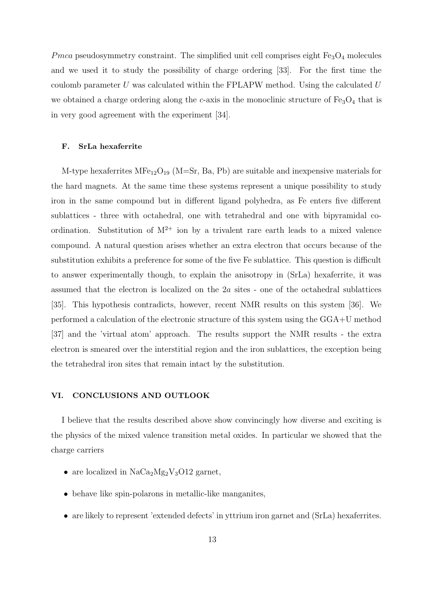$Pmca$  pseudosymmetry constraint. The simplified unit cell comprises eight  $\rm Fe_3O_4$  molecules and we used it to study the possibility of charge ordering [33]. For the first time the coulomb parameter  $U$  was calculated within the FPLAPW method. Using the calculated  $U$ we obtained a charge ordering along the c-axis in the monoclinic structure of  $Fe<sub>3</sub>O<sub>4</sub>$  that is in very good agreement with the experiment [34].

#### F. SrLa hexaferrite

M-type hexaferrites  $MFe_{12}O_{19}$  (M=Sr, Ba, Pb) are suitable and inexpensive materials for the hard magnets. At the same time these systems represent a unique possibility to study iron in the same compound but in different ligand polyhedra, as Fe enters five different sublattices - three with octahedral, one with tetrahedral and one with bipyramidal coordination. Substitution of  $M^{2+}$  ion by a trivalent rare earth leads to a mixed valence compound. A natural question arises whether an extra electron that occurs because of the substitution exhibits a preference for some of the five Fe sublattice. This question is difficult to answer experimentally though, to explain the anisotropy in (SrLa) hexaferrite, it was assumed that the electron is localized on the 2a sites - one of the octahedral sublattices [35]. This hypothesis contradicts, however, recent NMR results on this system [36]. We performed a calculation of the electronic structure of this system using the GGA+U method [37] and the 'virtual atom' approach. The results support the NMR results - the extra electron is smeared over the interstitial region and the iron sublattices, the exception being the tetrahedral iron sites that remain intact by the substitution.

# VI. CONCLUSIONS AND OUTLOOK

I believe that the results described above show convincingly how diverse and exciting is the physics of the mixed valence transition metal oxides. In particular we showed that the charge carriers

- are localized in  $NaCa<sub>2</sub>Mg<sub>2</sub>V<sub>3</sub>O12$  garnet,
- behave like spin-polarons in metallic-like manganites,
- are likely to represent 'extended defects' in yttrium iron garnet and (SrLa) hexaferrites.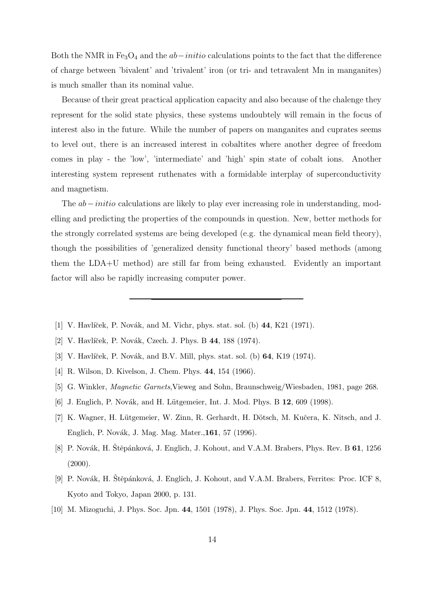Both the NMR in  $Fe<sub>3</sub>O<sub>4</sub>$  and the  $ab–initio$  calculations points to the fact that the difference of charge between 'bivalent' and 'trivalent' iron (or tri- and tetravalent Mn in manganites) is much smaller than its nominal value.

Because of their great practical application capacity and also because of the chalenge they represent for the solid state physics, these systems undoubtely will remain in the focus of interest also in the future. While the number of papers on manganites and cuprates seems to level out, there is an increased interest in cobaltites where another degree of freedom comes in play - the 'low', 'intermediate' and 'high' spin state of cobalt ions. Another interesting system represent ruthenates with a formidable interplay of superconductivity and magnetism.

The *ab – initio* calculations are likely to play ever increasing role in understanding, modelling and predicting the properties of the compounds in question. New, better methods for the strongly correlated systems are being developed (e.g. the dynamical mean field theory), though the possibilities of 'generalized density functional theory' based methods (among them the LDA+U method) are still far from being exhausted. Evidently an important factor will also be rapidly increasing computer power.

- [1] V. Havlíček, P. Novák, and M. Vichr, phys. stat. sol. (b)  $44, K21$  (1971).
- [2] V. Havlíček, P. Novák, Czech. J. Phys. B 44, 188 (1974).
- [3] V. Havlíček, P. Novák, and B.V. Mill, phys. stat. sol. (b) 64, K19 (1974).
- [4] R. Wilson, D. Kivelson, J. Chem. Phys. 44, 154 (1966).
- [5] G. Winkler, Magnetic Garnets,Vieweg and Sohn, Braunschweig/Wiesbaden, 1981, page 268.
- [6] J. Englich, P. Novák, and H. Lütgemeier, Int. J. Mod. Phys. B 12, 609 (1998).
- [7] K. Wagner, H. Lütgemeier, W. Zinn, R. Gerhardt, H. Dötsch, M. Kučera, K. Nitsch, and J. Englich, P. Novák, J. Mag. Mag. Mater.,161, 57 (1996).
- [8] P. Novák, H. Štěpánková, J. Englich, J. Kohout, and V.A.M. Brabers, Phys. Rev. B 61, 1256  $(2000).$
- [9] P. Novák, H. Stěpánková, J. Englich, J. Kohout, and V.A.M. Brabers, Ferrites: Proc. ICF 8, Kyoto and Tokyo, Japan 2000, p. 131.
- [10] M. Mizoguchi, J. Phys. Soc. Jpn. 44, 1501 (1978), J. Phys. Soc. Jpn. 44, 1512 (1978).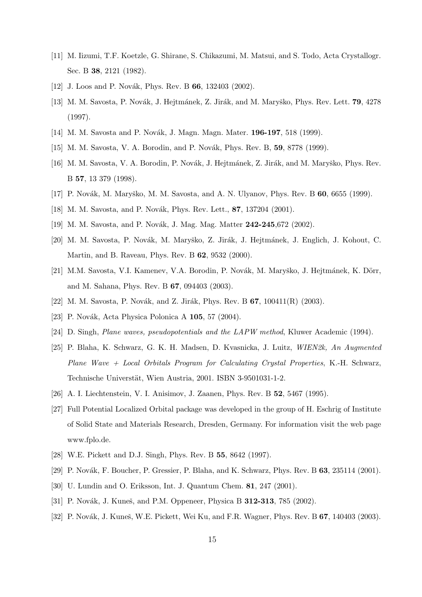- [11] M. Iizumi, T.F. Koetzle, G. Shirane, S. Chikazumi, M. Matsui, and S. Todo, Acta Crystallogr. Sec. B 38, 2121 (1982).
- [12] J. Loos and P. Novák, Phys. Rev. B  $66$ , 132403 (2002).
- [13] M. M. Savosta, P. Novák, J. Hejtmánek, Z. Jirák, and M. Maryško, Phys. Rev. Lett. 79, 4278 (1997).
- [14] M. M. Savosta and P. Novák, J. Magn. Magn. Mater. 196-197, 518 (1999).
- [15] M. M. Savosta, V. A. Borodin, and P. Novák, Phys. Rev. B, 59, 8778 (1999).
- [16] M. M. Savosta, V. A. Borodin, P. Novák, J. Hejtmánek, Z. Jirák, and M. Maryško, Phys. Rev. B 57, 13 379 (1998).
- [17] P. Novák, M. Maryško, M. M. Savosta, and A. N. Ulyanov, Phys. Rev. B 60, 6655 (1999).
- [18] M. M. Savosta, and P. Novák, Phys. Rev. Lett., 87, 137204 (2001).
- [19] M. M. Savosta, and P. Novák, J. Mag. Mag. Matter 242-245,672 (2002).
- [20] M. M. Savosta, P. Novák, M. Maryško, Z. Jirák, J. Hejtmánek, J. Englich, J. Kohout, C. Martin, and B. Raveau, Phys. Rev. B 62, 9532 (2000).
- [21] M.M. Savosta, V.I. Kamenev, V.A. Borodin, P. Novák, M. Maryško, J. Hejtmánek, K. Dörr, and M. Sahana, Phys. Rev. B 67, 094403 (2003).
- [22] M. M. Savosta, P. Novák, and Z. Jirák, Phys. Rev. B  $67$ , 100411(R) (2003).
- [23] P. Novák, Acta Physica Polonica A 105, 57 (2004).
- [24] D. Singh, Plane waves, pseudopotentials and the LAPW method, Kluwer Academic (1994).
- [25] P. Blaha, K. Schwarz, G. K. H. Madsen, D. Kvasnicka, J. Luitz, WIEN2k, An Augmented  $Plane Wave + Local Orbitals Program for Calculating Crystal Properties, K.-H. Schwarz,$ Technische Universtät, Wien Austria, 2001. ISBN 3-9501031-1-2.
- [26] A. I. Liechtenstein, V. I. Anisimov, J. Zaanen, Phys. Rev. B 52, 5467 (1995).
- [27] Full Potential Localized Orbital package was developed in the group of H. Eschrig of Institute of Solid State and Materials Research, Dresden, Germany. For information visit the web page www.fplo.de.
- [28] W.E. Pickett and D.J. Singh, Phys. Rev. B 55, 8642 (1997).
- [29] P. Novák, F. Boucher, P. Gressier, P. Blaha, and K. Schwarz, Phys. Rev. B 63, 235114 (2001).
- [30] U. Lundin and O. Eriksson, Int. J. Quantum Chem. 81, 247 (2001).
- [31] P. Novák, J. Kuneš, and P.M. Oppeneer, Physica B **312-313**, 785 (2002).
- [32] P. Novák, J. Kuneš, W.E. Pickett, Wei Ku, and F.R. Wagner, Phys. Rev. B 67, 140403 (2003).